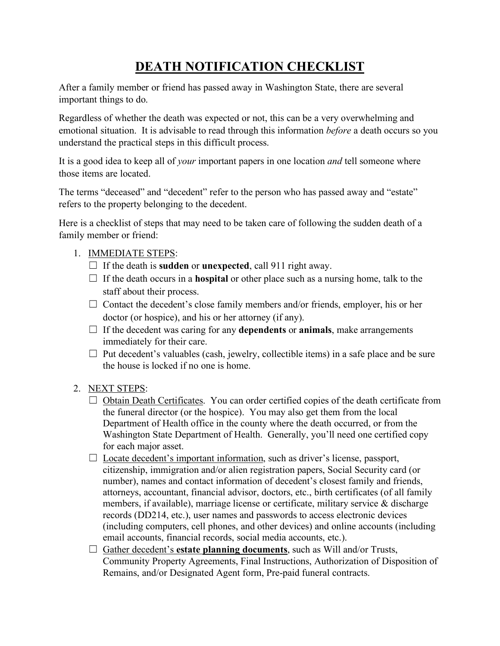## **DEATH NOTIFICATION CHECKLIST**

After a family member or friend has passed away in Washington State, there are several important things to do.

Regardless of whether the death was expected or not, this can be a very overwhelming and emotional situation. It is advisable to read through this information *before* a death occurs so you understand the practical steps in this difficult process.

It is a good idea to keep all of *your* important papers in one location *and* tell someone where those items are located.

The terms "deceased" and "decedent" refer to the person who has passed away and "estate" refers to the property belonging to the decedent.

Here is a checklist of steps that may need to be taken care of following the sudden death of a family member or friend:

## 1. IMMEDIATE STEPS:

- ☐ If the death is **sudden** or **unexpected**, call 911 right away.
- $\Box$  If the death occurs in a **hospital** or other place such as a nursing home, talk to the staff about their process.
- $\Box$  Contact the decedent's close family members and/or friends, employer, his or her doctor (or hospice), and his or her attorney (if any).
- ☐ If the decedent was caring for any **dependents** or **animals**, make arrangements immediately for their care.
- $\Box$  Put decedent's valuables (cash, jewelry, collectible items) in a safe place and be sure the house is locked if no one is home.

## 2. NEXT STEPS:

- $\Box$  Obtain Death Certificates. You can order certified copies of the death certificate from the funeral director (or the hospice). You may also get them from the local Department of Health office in the county where the death occurred, or from the Washington State Department of Health. Generally, you'll need one certified copy for each major asset.
- $\Box$  Locate decedent's important information, such as driver's license, passport, citizenship, immigration and/or alien registration papers, Social Security card (or number), names and contact information of decedent's closest family and friends, attorneys, accountant, financial advisor, doctors, etc., birth certificates (of all family members, if available), marriage license or certificate, military service & discharge records (DD214, etc.), user names and passwords to access electronic devices (including computers, cell phones, and other devices) and online accounts (including email accounts, financial records, social media accounts, etc.).
- ☐ Gather decedent's **estate planning documents**, such as Will and/or Trusts, Community Property Agreements, Final Instructions, Authorization of Disposition of Remains, and/or Designated Agent form, Pre-paid funeral contracts.